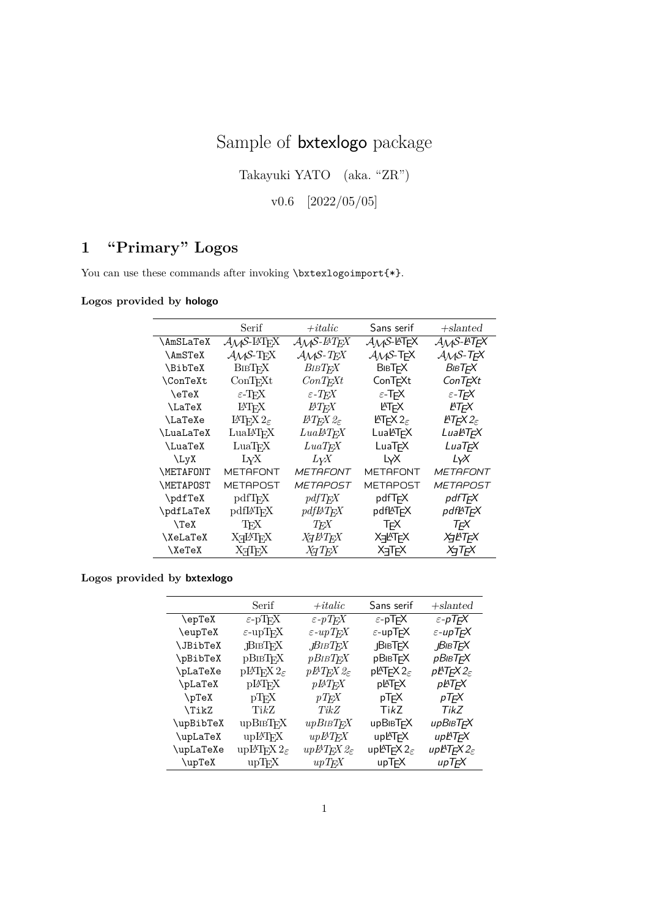# Sample of bxtexlogo package

Takayuki YATO (aka. "ZR")

v0.6 [2022/05/05]

## **1 "Primary" Logos**

You can use these commands after invoking \bxtexlogoimport{\*}.

### **Logos provided by hologo**

|                    | Serif                                                                      | $+ it alic$                                              | Sans serif                             | $+$ slanted                               |
|--------------------|----------------------------------------------------------------------------|----------------------------------------------------------|----------------------------------------|-------------------------------------------|
| \AmSLaTeX          | $\mathcal{A}$ $\mathcal{A}$ $\mathcal{S}$ -L <sup>A</sup> T <sub>F</sub> X | $\mathcal{A} \mathcal{M} \mathcal{S}$ -BT <sub>F</sub> X | $A_{\mathcal{M}}S$ -LAT <sub>F</sub> X | $A_{\mathcal{M}}$ S-L $T_{\mathcal{F}}$ X |
| \AmSTeX            | $A\mathcal{M}S$ -T <sub>F</sub> X                                          | $\mathcal{A} \mathcal{M} \mathcal{S}$ - T <sub>F</sub> X | $A \mathcal{M} S$ -T <sub>F</sub> X    | $A_{\mathcal{M}}S$ -T <sub>F</sub> X      |
| \BibTeX            | <b>BIBTFX</b>                                                              | BIBTFX                                                   | <b>BIBTFX</b>                          | BівTFX                                    |
| <b>\ConTeXt</b>    | ConTrXt                                                                    | $ConT_F Xt$                                              | ConT <sub>F</sub> Xt                   | ConT <sub>F</sub> Xt                      |
| $\text{C}$         | $\varepsilon$ -T <sub>F</sub> X                                            | $\varepsilon$ -T <sub>F</sub> X                          | $\varepsilon$ -T <sub>F</sub> X        | $\varepsilon$ -T <sub>F</sub> X           |
| \LaTeX             | LAT <sub>F</sub> X                                                         | $_{\it B T F X}$                                         | <b>ATFX</b>                            | ИТFX                                      |
| <b>\LaTeXe</b>     | $\text{MFRX } 2_{\epsilon}$                                                | $\cancel{B}T$ FX $\mathcal{Q}_{\varepsilon}$             | $\text{MTF} \times 2_{\epsilon}$       | $\cancel{P}T$ FX $2_{\epsilon}$           |
| \LuaLaTeX          | LuaL <sup>AT</sup> FX                                                      | LuaBTFX                                                  | LuaLTFX                                | LuaLTFX                                   |
| <b>LuaTeX</b>      | $LuaT_FX$                                                                  | $LuaT$ <sub>F</sub> X                                    | LuaTFX                                 | LuaT <sub>F</sub> X                       |
| $\Upsilon_{\rm V}$ | LyX                                                                        | $L_{\rm V}\!X$                                           | L <sub>Y</sub> X                       | LyX                                       |
| <b>\METAFONT</b>   | METAFONT                                                                   | <b>METAFONT</b>                                          | <b>METAFONT</b>                        | <b>METAFONT</b>                           |
| <b>\METAPOST</b>   | <b>METAPOST</b>                                                            | <b>METAPOST</b>                                          | METAPOST                               | <b>METAPOST</b>                           |
| \pdfTeX            | pdfTFX                                                                     | pdfTrX                                                   | pdfTFX                                 | pdfTFX                                    |
| \pdfLaTeX          | <b>pdfI#TFX</b>                                                            | $pdfB$ $TFX$                                             | pdfl <sup>e</sup> T <sub>F</sub> X     | pdfl∆T <sub>F</sub> X                     |
| $\Gamma$           | TFX                                                                        | $T_F\!X$                                                 | <b>T<sub>F</sub>X</b>                  | TFX                                       |
| \XeLaTeX           | ХЯИТЕХ                                                                     | <i>X</i> <sub>H</sub> AT <sub>F</sub> X                  | <b>X<sub>T</sub>AFX</b>                | XqlHTFX                                   |
| \XeTeX             | XTIFX                                                                      | <i>X</i> <sub>H</sub> T <sub>F</sub> X                   | <b>X<sub>T</sub>T<sub>F</sub>X</b>     | XqTFX                                     |

## **Logos provided by bxtexlogo**

|           | Serif                                | $+ italic$                           | Sans serif                                                  | $+$ slanted                                   |
|-----------|--------------------------------------|--------------------------------------|-------------------------------------------------------------|-----------------------------------------------|
| \epTeX    | $\varepsilon$ -pT <sub>F</sub> X     | $\varepsilon$ -pT <sub>F</sub> X     | $\varepsilon$ -pT <sub>F</sub> X                            | $\varepsilon$ -pT <sub>F</sub> X              |
| \eupTeX   | $\varepsilon$ -upT <sub>F</sub> X    | $\varepsilon$ -upT <sub>F</sub> X    | $\varepsilon$ -upT <sub>F</sub> X                           | $\varepsilon$ -upT <sub>F</sub> X             |
| \JBibTeX  | JBIBTEX                              | <i>BIBTFX</i> .                      | <b>JBIBT<sub>F</sub>X</b>                                   | <b>BIBTFX</b>                                 |
| \pBibTeX  | <b>pBIBTFX</b>                       | <b><i>pBIBTFX</i></b>                | <b>pBIBT<sub>F</sub>X</b>                                   | рВівТ <sub>F</sub> X                          |
| \pLaTeXe  | $\mathrm{pHTr}X\,2_{\varepsilon}$    | $pB$ T <sub>F</sub> X $2\varepsilon$ | pl <sup>AT</sup> E <sup>X2<math>_{\varepsilon}</math></sup> | pPTEX $2_\varepsilon$                         |
| \pLaTeX   | <b>pIAT<sub>F</sub>X</b>             | $pBT_FX$                             | pLATFX                                                      | pL∏FX                                         |
| $\P$ TeX  | pT <sub>F</sub> X                    | $pT_F X$                             | pT <sub>F</sub> X                                           | pTFX                                          |
| \TikZ     | $\mathrm{Ti}k\mathrm{Z}$             | TikZ                                 | TikZ                                                        | TikZ                                          |
| \upBibTeX | upВівТ <sub>F</sub> X                | upBiB                                | <b>upBIBTFX</b>                                             | ирВівТ <sub>F</sub> X                         |
| \upLaTeX  | upL <sup>A</sup> T <sub>F</sub> X    | $upBT$ <sub>F</sub> X                | upLATFX                                                     | upL <sup>A</sup> T <sub>F</sub> X             |
| \upLaTeXe | upIAT <sub>F</sub> X $2_\varepsilon$ | $upBT_F X2_\varepsilon$              | upLAT <sub>F</sub> $\times$ 2 $_{\varepsilon}$              | up $\cancel{\mathtt{PTT}}$ FX $2_\varepsilon$ |
| \upTeX    | $up$ T <sub>F</sub> X                | $upT$ <sub>F</sub> $X$               | upT <sub>F</sub> X                                          | upT <sub>F</sub> X                            |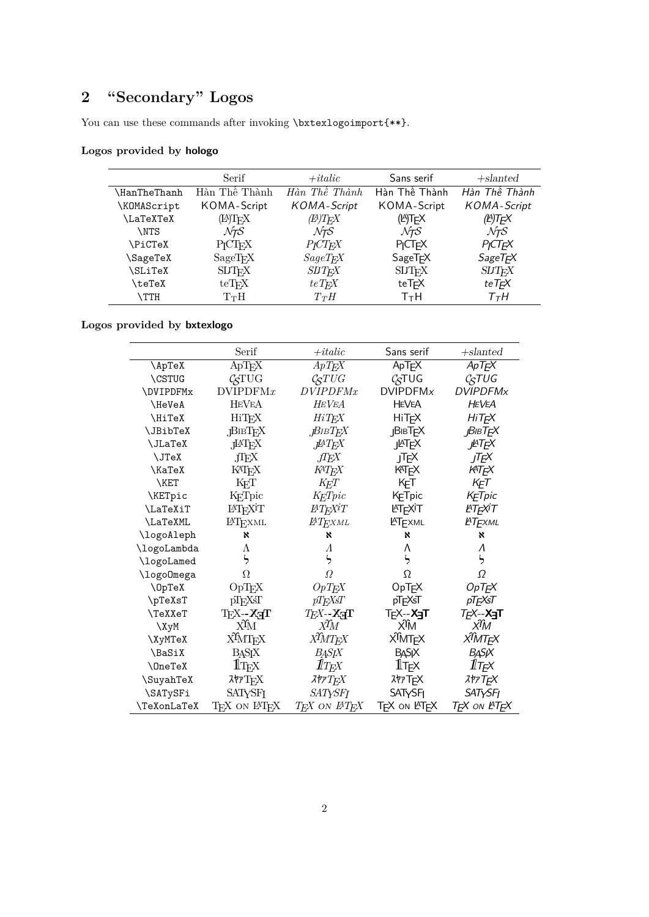# **2 "Secondary" Logos**

You can use these commands after invoking \bxtexlogoimport{\*\*}.

## **Logos provided by hologo**

|                     | Serif                    | $+$ <i>italic</i>     | Sans serif                            | $+slanted$           |
|---------------------|--------------------------|-----------------------|---------------------------------------|----------------------|
| <b>\HanTheThanh</b> | Hàn Thế Thành            | Hàn Thế Thành         | Hàn Thế Thành                         | Hàn Thế Thành        |
| \KOMAScript         | KOMA-Script              | <b>KOMA-Script</b>    | KOMA-Script                           | KOMA-Script          |
| <b>\LaTeXTeX</b>    | (LA)T <sub>F</sub> X     | (EA)T <sub>F-</sub> X | (LA)T <sub>F</sub> X                  | (LA)T <sub>F</sub> X |
| <b>NTS</b>          | $\mathcal{N}$ TS         | MгS                   | $\mathcal{N} \mathcal{T} \mathcal{S}$ | $\mathcal{N}$ TS     |
| \PiCTeX             | $P_{I}CT_{F}X$           | $P_{I}CT_{F}X$        | PICT <sub>F</sub> X                   | PICTFX               |
| \SageTeX            | SageTrX                  | $SageT$ FX            | SageTrX                               | SageT <sub>F</sub> X |
| SLiTeX              | <b>SLIT<sub>F</sub>X</b> | <b>SUTFX</b>          | <b>SLITFX</b>                         | <b>SUTFX</b>         |
| \teTeX              | $teT$ FX                 | $teT$ FX              | teTFX                                 | $teT_fX$             |
| <b>TTH</b>          | $T_{\rm T}$ H            | $T_{T}H$              | T+H                                   | T+H                  |

## **Logos provided by bxtexlogo**

|                                                            | Serif                                                               | $+ it alic$                          | Sans serif                               | $+$ slanted                              |
|------------------------------------------------------------|---------------------------------------------------------------------|--------------------------------------|------------------------------------------|------------------------------------------|
| $\hbox{\scriptsize\textsf{\scriptsize{A}}pTe\overline{X}}$ | ApTEX                                                               | ApT <sub>E</sub> X                   | ApT <sub>F</sub> X                       | ApTEX                                    |
| \CSTUG                                                     | <b>CSTUG</b>                                                        | $\mathcal{C}STUG$                    | C <sub>S</sub> TUG                       | CSTUG                                    |
| <b>\DVIPDFMx</b>                                           | DVIPDFMx                                                            | <i>DVIPDFMx</i>                      | <b>DVIPDFMx</b>                          | <b>DVIPDFMx</b>                          |
| \HeVeA                                                     | <b>HEVEA</b>                                                        | <b>HEVEA</b>                         | <b>HEVEA</b>                             | <b>HEVEA</b>                             |
| <b>\HiTeX</b>                                              | HiT <sub>E</sub> X                                                  | $HiT_E X$                            | <b>HiT<sub>E</sub>X</b>                  | HiT <sub>E</sub> X                       |
| \JBibTeX                                                   | $\mathbf{f} \mathbf{B} \mathbf{B} \mathbf{T} \mathbf{E} \mathbf{X}$ | JBIBT E X                            | <b>JBIBTEX</b>                           | <b>JBIBT<sub>E</sub>X</b>                |
| \JLaTeX                                                    | JATEX                                                               | ,⊮TEX                                | <b>J</b> <sup>A</sup> T <sub>E</sub> X   | <b>J</b> AT <sub>E</sub> X               |
| \JTeX                                                      | JIEX                                                                | $J\!I\!E\!X$                         | JTEX                                     | JTEX                                     |
| \KaTeX                                                     | KAT <sub>E</sub> X                                                  | KATEX                                | KATFX                                    | KATFX                                    |
| \KET                                                       | $\text{K}_{\text{E}}\text{T}$                                       | $K_{\!E\!T}$                         | KET                                      | KET                                      |
| \KETpic                                                    | K <sub>F</sub> Tpic                                                 | K <sub>E</sub> Tpic                  | KETpic                                   | KETpic                                   |
| \LaTeXiT                                                   | LAT <sub>F</sub> XIT                                                | ĿΤϝΧİΤ                               | <b>AT<sub>E</sub>XiT</b>                 | <b>LATEXIT</b>                           |
| \LaTeXML                                                   | <b>IAT</b> EXML                                                     | $_{\it HT_{E}XML}$                   | <b>LATEXML</b>                           | <b>LATEXML</b>                           |
| \logoAleph                                                 | ×                                                                   | ×                                    | ×                                        | ×                                        |
| \logoLambda                                                | Λ                                                                   | Λ                                    | Λ                                        | $\Lambda$                                |
| \logoLamed                                                 | ら                                                                   | ら                                    | ら                                        | ら                                        |
| \logo0mega                                                 | Ω                                                                   | Ω                                    | Ω                                        | Ω                                        |
| \OpTeX                                                     | $\ensuremath{\mathbf{OpT}\mathbf{E}\mathbf{X}}$                     | $OpT_EX$                             | OpTEX                                    | OpT <sub>E</sub> X                       |
| \pTeXsT                                                    | pTFXsT                                                              | pTFXsT                               | pTEXsT                                   | pTϝXsT                                   |
| \TeXXeT                                                    | $T_F X - X_T T$                                                     | $T_F X - X_T T$                      | T <sub>F</sub> X-- <b>X<sub>∃</sub>T</b> | <i>T<sub>F</sub>X--</i> X <sub>∃</sub> T |
| $\chi$ yM                                                  | Хĥ                                                                  | ХĥЛ                                  | Хĥи                                      | хŶМ                                      |
| \XyMTeX                                                    | XÎMTEX                                                              | XÎMTEX                               | X <sup>î</sup> MT <sub>E</sub> X         | XÎMT <sub>E</sub> X                      |
| \BaSiX                                                     | <b>BASIX</b>                                                        | <b>BASJX</b>                         | <b>BASIX</b>                             | <b>BASK</b>                              |
| \OneTeX                                                    | $1\!\mathrm{T_F}\!X$                                                | $1\!\!1_{T\!E^{\!X}}$                | $1$ T <sub>E</sub> $\times$              | 11 tex                                   |
| \SuyahTeX                                                  | $\lambda \gamma T_{E} X$                                            | $\lambda$ <i>†7<math>T_E</math>X</i> | <b>XTTEX</b>                             | <i><b>XヤアTFX</b></i>                     |
| \SATySFi                                                   | <b>SATYSFI</b>                                                      | SATYSFI                              | <b>SATYSFI</b>                           | <b>SATYSFI</b>                           |
| \TeXonLaTeX                                                | TEX ON L <sup>AT</sup> EX                                           | TFX ON L <sup>H</sup> TEX            | TFX ON LATEX                             | TFX ON L <sup>H</sup> TEX                |